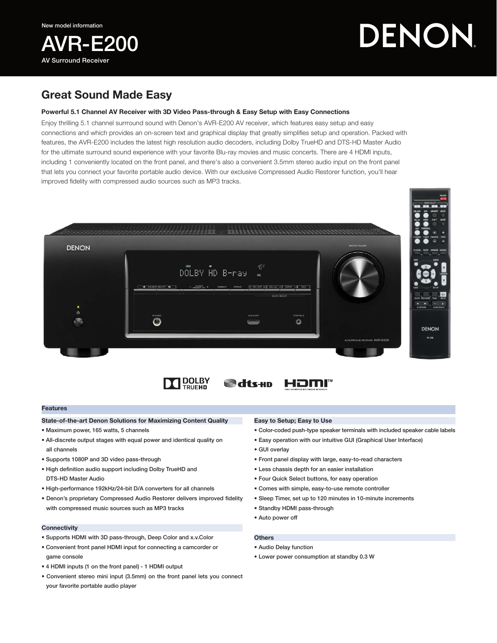

# DENON

## Great Sound Made Easy

### Powerful 5.1 Channel AV Receiver with 3D Video Pass-through & Easy Setup with Easy Connections

Enjoy thrilling 5.1 channel surrround sound with Denon's AVR-E200 AV receiver, which features easy setup and easy connections and which provides an on-screen text and graphical display that greatly simplifies setup and operation. Packed with features, the AVR-E200 includes the latest high resolution audio decoders, including Dolby TrueHD and DTS-HD Master Audio for the ultimate surround sound experience with your favorite Blu-ray movies and music concerts. There are 4 HDMI inputs, including 1 conveniently located on the front panel, and there's also a convenient 3.5mm stereo audio input on the front panel that lets you connect your favorite portable audio device. With our exclusive Compressed Audio Restorer function, you'll hear improved fidelity with compressed audio sources such as MP3 tracks.







#### Features

#### State-of-the-art Denon Solutions for Maximizing Content Quality

- Maximum power, 165 watts, 5 channels
- All-discrete output stages with equal power and identical quality on all channels
- Supports 1080P and 3D video pass-through
- High definition audio support including Dolby TrueHD and DTS-HD Master Audio
- High-performance 192kHz/24-bit D/A converters for all channels
- Denon's proprietary Compressed Audio Restorer delivers improved fidelity with compressed music sources such as MP3 tracks

#### **Connectivity**

- Supports HDMI with 3D pass-through, Deep Color and x.v.Color
- Convenient front panel HDMI input for connecting a camcorder or game console
- 4 HDMI inputs (1 on the front panel) 1 HDMI output
- Convenient stereo mini input (3.5mm) on the front panel lets you connect your favorite portable audio player

#### Easy to Setup; Easy to Use

- Color-coded push-type speaker terminals with included speaker cable labels
- Easy operation with our intuitive GUI (Graphical User Interface)
- GUI overlay
- Front panel display with large, easy-to-read characters
- Less chassis depth for an easier installation
- Four Quick Select buttons, for easy operation
- Comes with simple, easy-to-use remote controller
- Sleep Timer, set up to 120 minutes in 10-minute increments
- Standby HDMI pass-through
- Auto power off
- **Others** 
	- Audio Delay function
	- Lower power consumption at standby 0.3 W